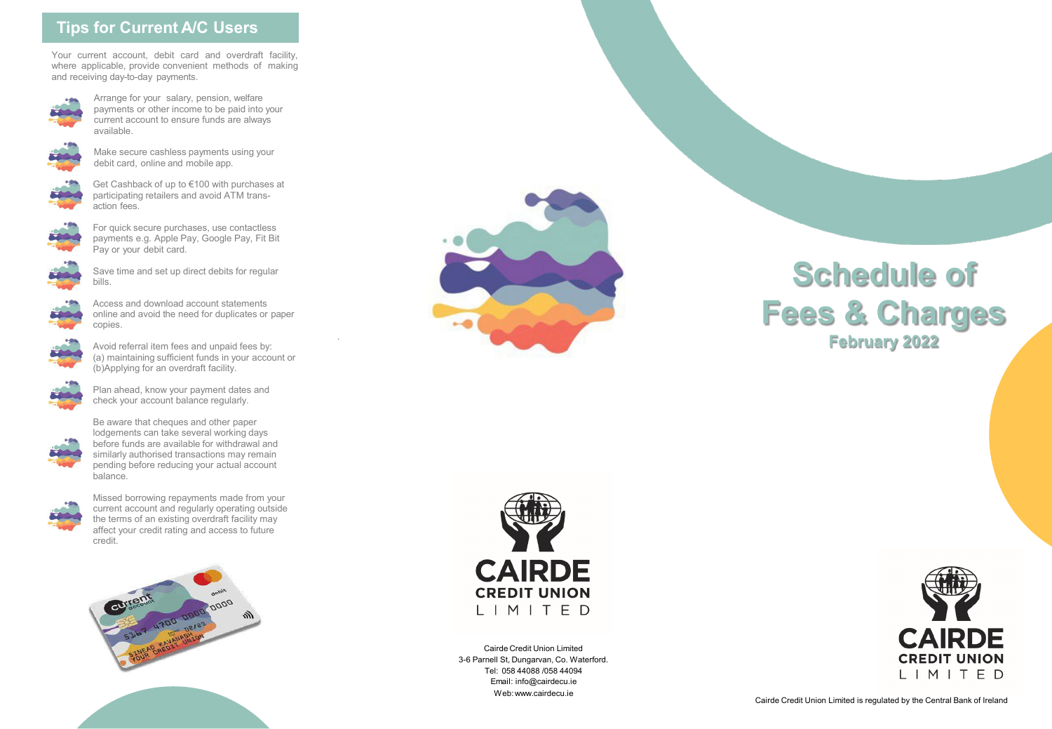# **Tips for Current A/C Users**

Your current account, debit card and overdraft facility, where applicable, provide convenient methods of making and receiving day-to-day payments.



Arrange for your salary, pension, welfare payments or other income to be paid into your current account to ensure funds are always available.



Make secure cashless payments using your debit card, online and mobile app.



Get Cashback of up to €100 with purchases at participating retailers and avoid ATM transaction fees.



For quick secure purchases, use contactless payments e.g. Apple Pay, Google Pay, Fit Bit Pay or your debit card.



Save time and set up direct debits for regular bills.



Access and download account statements online and avoid the need for duplicates or paper copies.

.



Avoid referral item fees and unpaid fees by: (a) maintaining sufficient funds in your account or (b)Applying for an overdraft facility.



Plan ahead, know your payment dates and check your account balance regularly.



Be aware that cheques and other paper lodgements can take several working days before funds are available for withdrawal and similarly authorised transactions may remain pending before reducing your actual account balance.



Missed borrowing repayments made from your current account and regularly operating outside the terms of an existing overdraft facility may affect your credit rating and access to future credit.





# **Schedule of Fees & Charges February 2022**



Cairde Credit Union Limited 3-6 Parnell St, Dungarvan, Co. Waterford. Tel: 058 44088 /058 44094 Email: info@cairdecu.ie